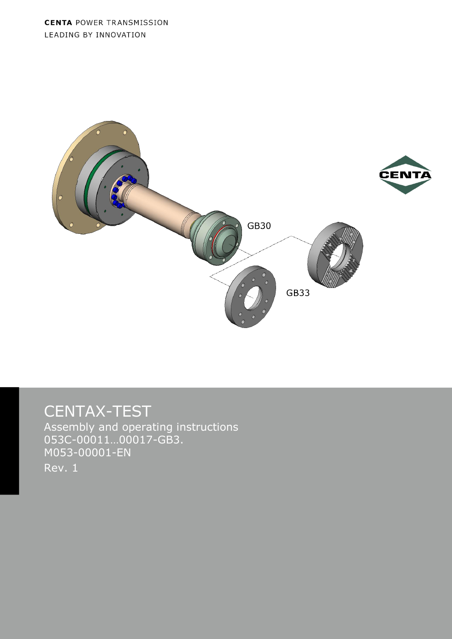**CENTA POWER TRANSMISSION** LEADING BY INNOVATION



# CENTAX-TEST

Assembly and operating instructions 053C-00011…00017-GB3. M053-00001-EN Rev. 1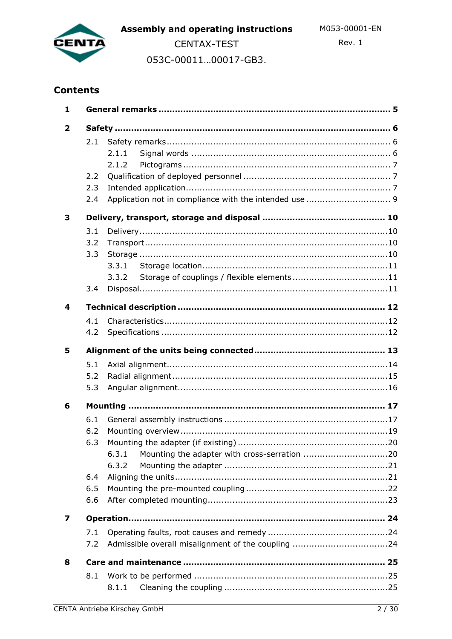

Rev. 1

053C-00011...00017-GB3.

## **Contents**

| 1                       |                                        |                |  |
|-------------------------|----------------------------------------|----------------|--|
| $\overline{\mathbf{2}}$ |                                        |                |  |
|                         | 2.1<br>2.2<br>2.3<br>2.4               | 2.1.1<br>2.1.2 |  |
|                         |                                        |                |  |
| 3                       | 3.1<br>3.2<br>3.3<br>3.4               | 3.3.2          |  |
| 4                       |                                        |                |  |
|                         | 4.1<br>4.2                             |                |  |
| 5                       |                                        |                |  |
|                         | 5.1<br>5.2<br>5.3                      |                |  |
| 6                       |                                        |                |  |
|                         | 6.1<br>6.2<br>6.3<br>6.4<br>6.5<br>6.6 | 6.3.1<br>6.3.2 |  |
| 7                       |                                        |                |  |
|                         | 7.1<br>7.2                             |                |  |
| 8                       |                                        |                |  |
|                         | 8.1                                    | 8.1.1          |  |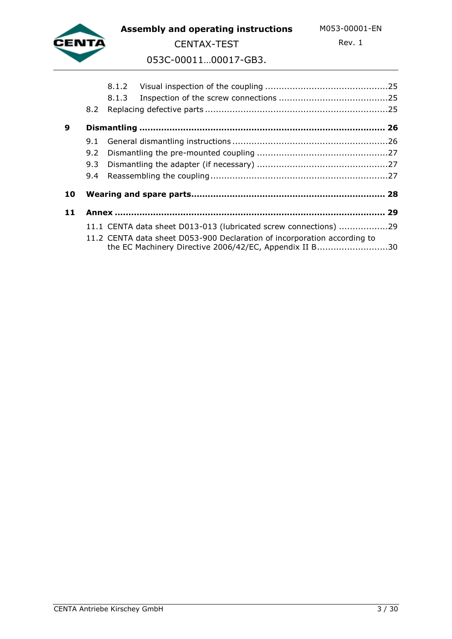

**Assembly and operating instructions** M053-00001-EN

CENTAX-TEST

Rev. 1

053C-00011…00017-GB3.

|    | 8.2 |                                                                                                                                    |  |
|----|-----|------------------------------------------------------------------------------------------------------------------------------------|--|
| 9  |     |                                                                                                                                    |  |
|    |     |                                                                                                                                    |  |
|    | 9.2 |                                                                                                                                    |  |
|    | 9.3 |                                                                                                                                    |  |
|    |     |                                                                                                                                    |  |
| 10 |     |                                                                                                                                    |  |
| 11 |     |                                                                                                                                    |  |
|    |     | 11.1 CENTA data sheet D013-013 (lubricated screw connections) 29                                                                   |  |
|    |     | 11.2 CENTA data sheet D053-900 Declaration of incorporation according to<br>the EC Machinery Directive 2006/42/EC, Appendix II B30 |  |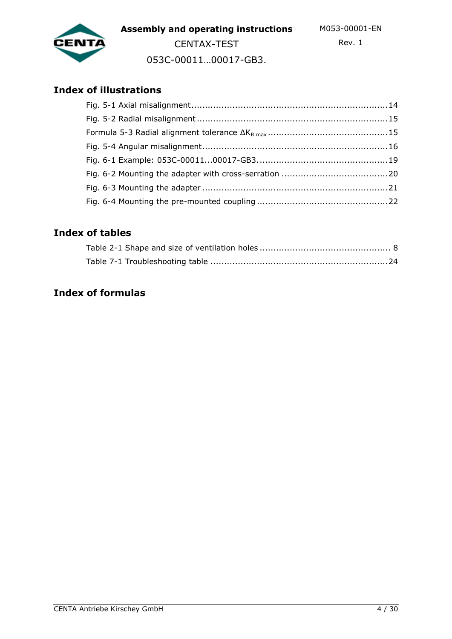

053C-00011…00017-GB3.

CENTAX-TEST

## **Index of illustrations**

## **Index of tables**

## **Index of formulas**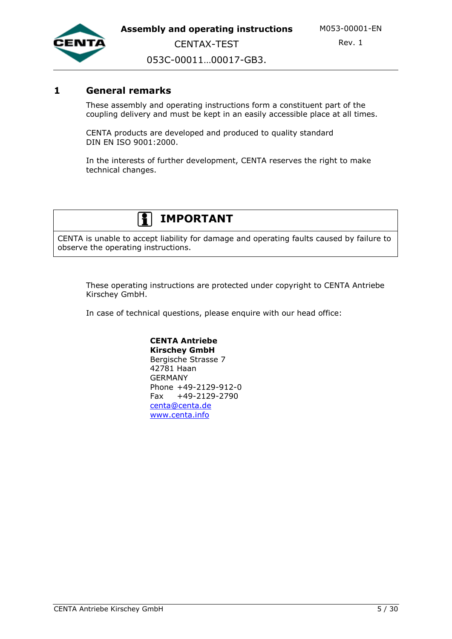

053C-00011…00017-GB3.

CENTAX-TEST

### **1 General remarks**

These assembly and operating instructions form a constituent part of the coupling delivery and must be kept in an easily accessible place at all times.

CENTA products are developed and produced to quality standard DIN EN ISO 9001:2000.

In the interests of further development, CENTA reserves the right to make technical changes.

## **IMPORTANT**

CENTA is unable to accept liability for damage and operating faults caused by failure to observe the operating instructions.

These operating instructions are protected under copyright to CENTA Antriebe Kirschey GmbH.

In case of technical questions, please enquire with our head office:

#### **CENTA Antriebe Kirschey GmbH** Bergische Strasse 7 42781 Haan GERMANY Phone +49-2129-912-0 Fax +49-2129-2790 [centa@centa.de](mailto:centa@centa.de) [www.centa.info](http://www.centa.info/)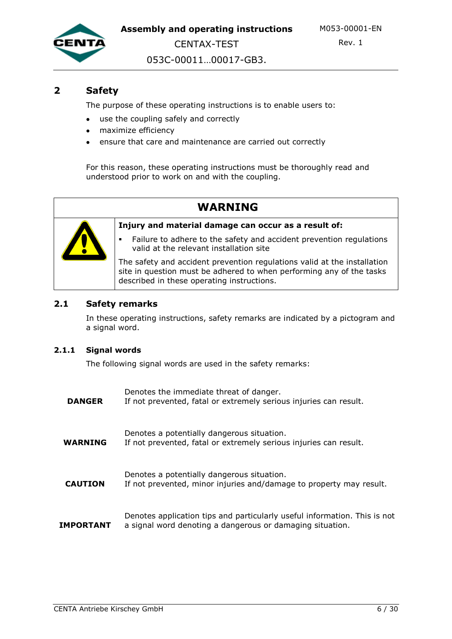

Rev. 1

053C-00011…00017-GB3.

CENTAX-TEST

### **2 Safety**

The purpose of these operating instructions is to enable users to:

- use the coupling safely and correctly
- maximize efficiency
- ensure that care and maintenance are carried out correctly

For this reason, these operating instructions must be thoroughly read and understood prior to work on and with the coupling.

## **WARNING**



**Injury and material damage can occur as a result of:**

 Failure to adhere to the safety and accident prevention regulations valid at the relevant installation site

The safety and accident prevention regulations valid at the installation site in question must be adhered to when performing any of the tasks described in these operating instructions.

#### **2.1 Safety remarks**

In these operating instructions, safety remarks are indicated by a pictogram and a signal word.

#### **2.1.1 Signal words**

The following signal words are used in the safety remarks:

| <b>DANGER</b>  | Denotes the immediate threat of danger.<br>If not prevented, fatal or extremely serious injuries can result.                           |
|----------------|----------------------------------------------------------------------------------------------------------------------------------------|
| <b>WARNING</b> | Denotes a potentially dangerous situation.<br>If not prevented, fatal or extremely serious injuries can result.                        |
| <b>CAUTION</b> | Denotes a potentially dangerous situation.<br>If not prevented, minor injuries and/damage to property may result.                      |
| IMPORTANT      | Denotes application tips and particularly useful information. This is not<br>a signal word denoting a dangerous or damaging situation. |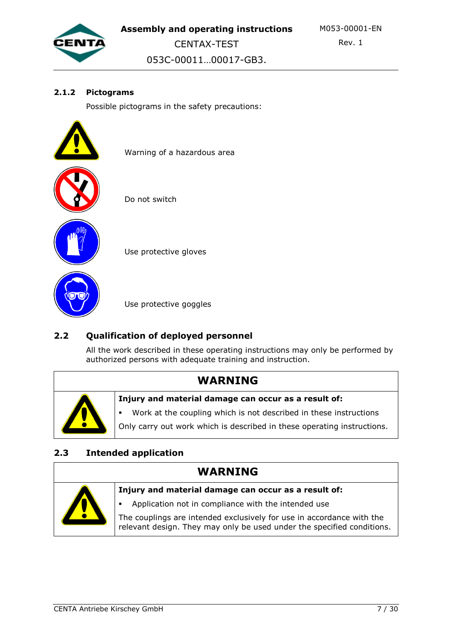

053C-00011…00017-GB3.

#### **2.1.2 Pictograms**

Possible pictograms in the safety precautions:

Warning of a hazardous area



Do not switch

Use protective gloves

Use protective goggles

## **2.2 Qualification of deployed personnel**

All the work described in these operating instructions may only be performed by authorized persons with adequate training and instruction.

## **WARNING**



**Injury and material damage can occur as a result of:**

Work at the coupling which is not described in these instructions

Only carry out work which is described in these operating instructions.

## **2.3 Intended application**

# **WARNING**

| Injury and material damage can occur as a result of:                                                                                            |
|-------------------------------------------------------------------------------------------------------------------------------------------------|
| Application not in compliance with the intended use                                                                                             |
| The couplings are intended exclusively for use in accordance with the<br>relevant design. They may only be used under the specified conditions. |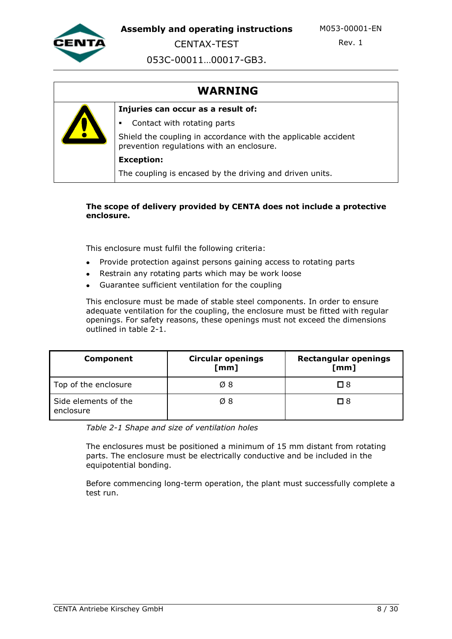

CENTAX-TEST

Rev. 1

053C-00011…00017-GB3.

## **WARNING**



#### **The scope of delivery provided by CENTA does not include a protective enclosure.**

This enclosure must fulfil the following criteria:

- Provide protection against persons gaining access to rotating parts  $\bullet$
- Restrain any rotating parts which may be work loose
- Guarantee sufficient ventilation for the coupling

This enclosure must be made of stable steel components. In order to ensure adequate ventilation for the coupling, the enclosure must be fitted with regular openings. For safety reasons, these openings must not exceed the dimensions outlined in table 2-1.

| <b>Component</b>                  | <b>Circular openings</b><br>[mm] | <b>Rectangular openings</b><br>[mm] |
|-----------------------------------|----------------------------------|-------------------------------------|
| Top of the enclosure              | $\varnothing$ 8                  | □ 8                                 |
| Side elements of the<br>enclosure | $\varnothing$ 8                  | $\Box$ 8                            |

*Table 2-1 Shape and size of ventilation holes*

The enclosures must be positioned a minimum of 15 mm distant from rotating parts. The enclosure must be electrically conductive and be included in the equipotential bonding.

Before commencing long-term operation, the plant must successfully complete a test run.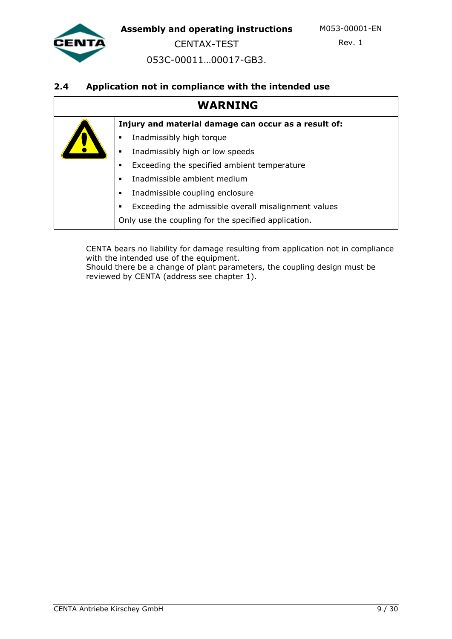

CENTAX-TEST

Rev. 1

053C-00011…00017-GB3.

#### **2.4 Application not in compliance with the intended use**

## **WARNING**

**Injury and material damage can occur as a result of:**

- **Inadmissibly high torque**
- **Inadmissibly high or low speeds**
- Exceeding the specified ambient temperature
- Inadmissible ambient medium
- **Inadmissible coupling enclosure**
- Exceeding the admissible overall misalignment values

Only use the coupling for the specified application.

CENTA bears no liability for damage resulting from application not in compliance with the intended use of the equipment.

Should there be a change of plant parameters, the coupling design must be reviewed by CENTA (address see chapter 1).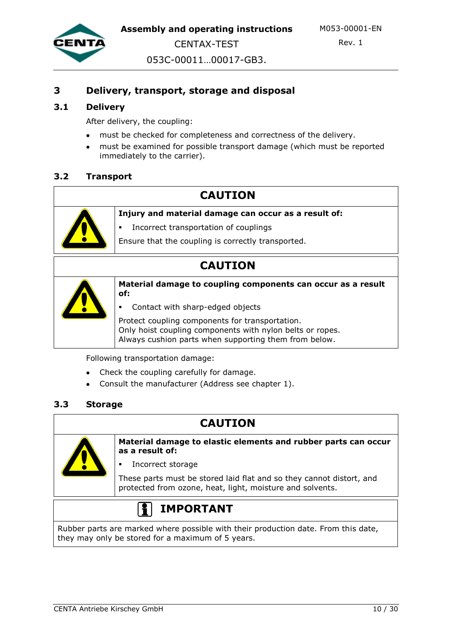



Rev. 1

053C-00011…00017-GB3.

## **3 Delivery, transport, storage and disposal**

#### **3.1 Delivery**

After delivery, the coupling:

- must be checked for completeness and correctness of the delivery.
- must be examined for possible transport damage (which must be reported immediately to the carrier).

#### **3.2 Transport**

## **CAUTION**



**Injury and material damage can occur as a result of:**

- Incorrect transportation of couplings
- Ensure that the coupling is correctly transported.

## **CAUTION**



**Material damage to coupling components can occur as a result of:**

Contact with sharp-edged objects

Protect coupling components for transportation. Only hoist coupling components with nylon belts or ropes. Always cushion parts when supporting them from below.

Following transportation damage:

- Check the coupling carefully for damage.
- Consult the manufacturer (Address see chapter 1).

#### **3.3 Storage**

## **CAUTION**



**Material damage to elastic elements and rubber parts can occur as a result of:**

Incorrect storage

These parts must be stored laid flat and so they cannot distort, and protected from ozone, heat, light, moisture and solvents.

# **IMPORTANT**

Rubber parts are marked where possible with their production date. From this date, they may only be stored for a maximum of 5 years.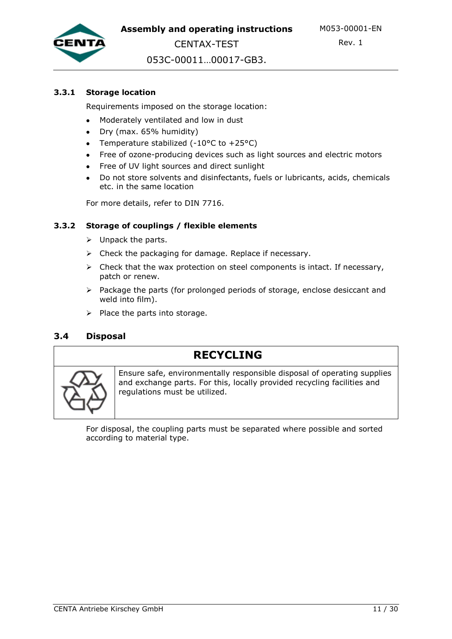

053C-00011…00017-GB3.

CENTAX-TEST

#### **3.3.1 Storage location**

Requirements imposed on the storage location:

- Moderately ventilated and low in dust  $\bullet$
- Dry (max. 65% humidity)
- Temperature stabilized  $(-10^{\circ}C \text{ to } +25^{\circ}C)$
- Free of ozone-producing devices such as light sources and electric motors
- Free of UV light sources and direct sunlight
- Do not store solvents and disinfectants, fuels or lubricants, acids, chemicals etc. in the same location

For more details, refer to DIN 7716.

#### **3.3.2 Storage of couplings / flexible elements**

- $\triangleright$  Unpack the parts.
- $\triangleright$  Check the packaging for damage. Replace if necessary.
- $\triangleright$  Check that the wax protection on steel components is intact. If necessary, patch or renew.
- $\triangleright$  Package the parts (for prolonged periods of storage, enclose desiccant and weld into film).
- $\triangleright$  Place the parts into storage.

#### **3.4 Disposal**

## **RECYCLING**



Ensure safe, environmentally responsible disposal of operating supplies and exchange parts. For this, locally provided recycling facilities and regulations must be utilized.

For disposal, the coupling parts must be separated where possible and sorted according to material type.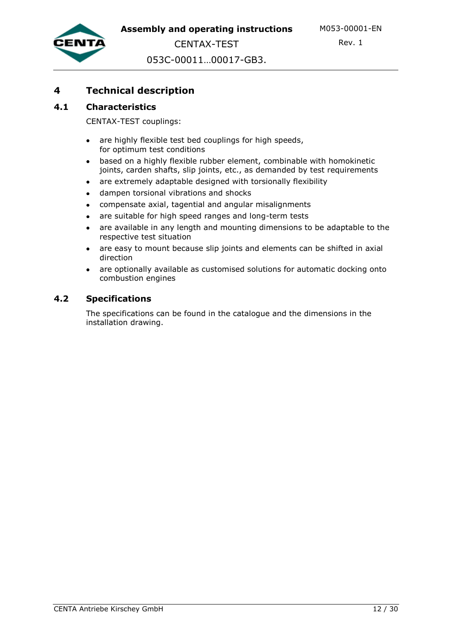Rev. 1

053C-00011…00017-GB3.

## **4 Technical description**

#### **4.1 Characteristics**

CENTAX-TEST couplings:

- are highly flexible test bed couplings for high speeds,  $\bullet$ for optimum test conditions
- based on a highly flexible rubber element, combinable with homokinetic joints, carden shafts, slip joints, etc., as demanded by test requirements
- are extremely adaptable designed with torsionally flexibility
- dampen torsional vibrations and shocks  $\bullet$
- compensate axial, tagential and angular misalignments
- are suitable for high speed ranges and long-term tests
- are available in any length and mounting dimensions to be adaptable to the respective test situation
- are easy to mount because slip joints and elements can be shifted in axial direction
- are optionally available as customised solutions for automatic docking onto combustion engines

#### **4.2 Specifications**

The specifications can be found in the catalogue and the dimensions in the installation drawing.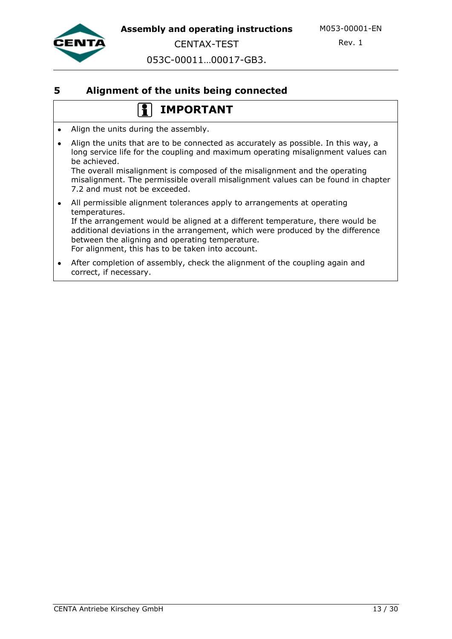

053C-00011…00017-GB3.

CENTAX-TEST

### **5 Alignment of the units being connected**

## **IMPORTANT**

- Align the units during the assembly.
- Align the units that are to be connected as accurately as possible. In this way, a long service life for the coupling and maximum operating misalignment values can be achieved. The overall misalignment is composed of the misalignment and the operating misalignment. The permissible overall misalignment values can be found in chapter 7.2 and must not be exceeded.
- All permissible alignment tolerances apply to arrangements at operating temperatures. If the arrangement would be aligned at a different temperature, there would be additional deviations in the arrangement, which were produced by the difference between the aligning and operating temperature. For alignment, this has to be taken into account.
- After completion of assembly, check the alignment of the coupling again and  $\bullet$ correct, if necessary.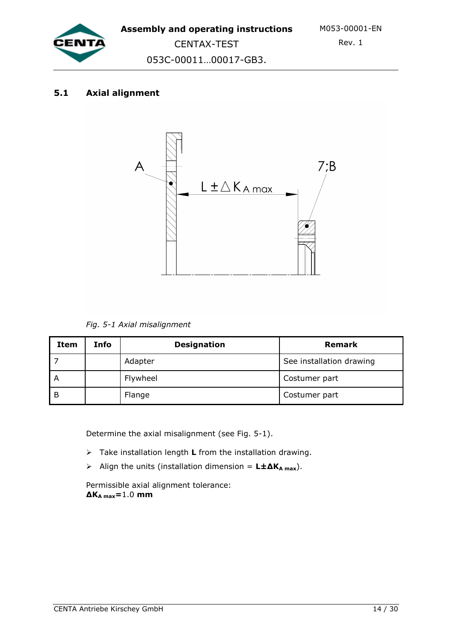

053C-00011…00017-GB3.

### **5.1 Axial alignment**



*Fig. 5-1 Axial misalignment*

| Item           | Info | <b>Designation</b> | <b>Remark</b>            |
|----------------|------|--------------------|--------------------------|
|                |      | Adapter            | See installation drawing |
| $\overline{A}$ |      | Flywheel           | Costumer part            |
| - B            |      | Flange             | Costumer part            |

Determine the axial misalignment (see Fig. 5-1).

- Take installation length **L** from the installation drawing.
- Align the units (installation dimension = **L±∆KA max**).

Permissible axial alignment tolerance: **∆KA max=**1.0 **mm**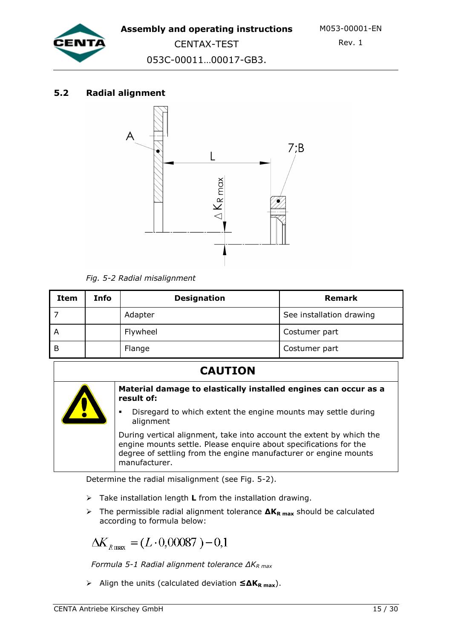

CENTAX-TEST 053C-00011…00017-GB3.

## **5.2 Radial alignment**



*Fig. 5-2 Radial misalignment* 

| Item | Info | <b>Designation</b> | <b>Remark</b>            |
|------|------|--------------------|--------------------------|
|      |      | Adapter            | See installation drawing |
| A    |      | Flywheel           | Costumer part            |
| B    |      | Flange             | Costumer part            |

## **CAUTION**



#### **Material damage to elastically installed engines can occur as a result of:**

 Disregard to which extent the engine mounts may settle during alignment

During vertical alignment, take into account the extent by which the engine mounts settle. Please enquire about specifications for the degree of settling from the engine manufacturer or engine mounts manufacturer.

Determine the radial misalignment (see Fig. 5-2).

- Take installation length **L** from the installation drawing.
- The permissible radial alignment tolerance **∆KR max** should be calculated according to formula below:

$$
\Delta K_{R\,\text{max}} = (L \cdot 0,00087) - 0,1
$$

 *Formula 5-1 Radial alignment tolerance ∆KR max*

Align the units (calculated deviation **≤∆KR max**).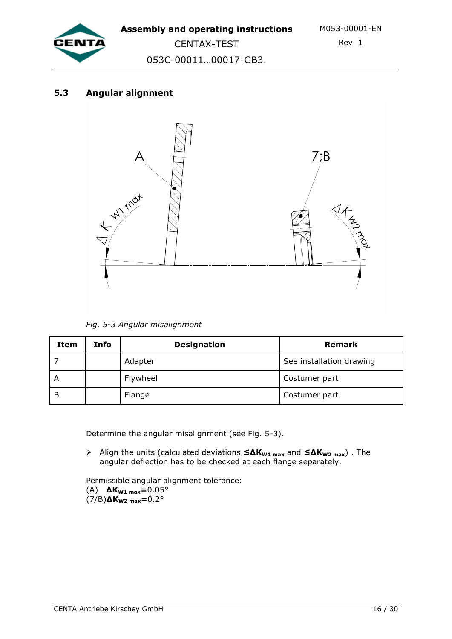

CENTAX-TEST 053C-00011…00017-GB3.

## **5.3 Angular alignment**



*Fig. 5-3 Angular misalignment* 

| Item | Info | <b>Designation</b> | <b>Remark</b>            |
|------|------|--------------------|--------------------------|
|      |      | Adapter            | See installation drawing |
| A    |      | Flywheel           | Costumer part            |
| -B   |      | Flange             | Costumer part            |

Determine the angular misalignment (see Fig. 5-3).

 Align the units (calculated deviations **≤∆KW1 max** and **≤∆KW2 max**) . The angular deflection has to be checked at each flange separately.

Permissible angular alignment tolerance:

(A) **∆KW1 max=**0.05° (7/B)**∆KW2 max=**0.2°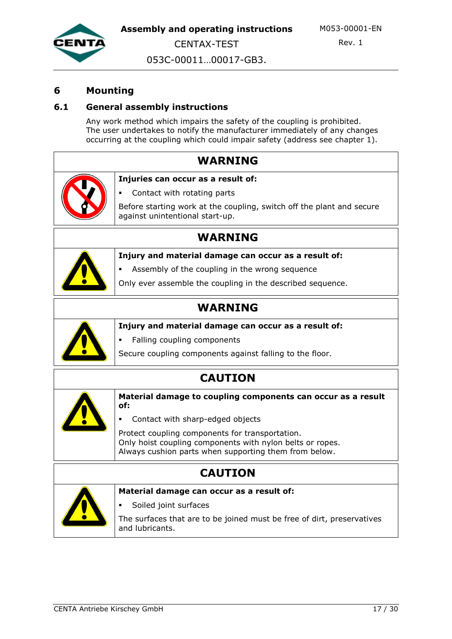

Rev. 1

CENTAX-TEST 053C-00011…00017-GB3.

## **6 Mounting**

### **6.1 General assembly instructions**

Any work method which impairs the safety of the coupling is prohibited. The user undertakes to notify the manufacturer immediately of any changes occurring at the coupling which could impair safety (address see chapter 1).

| <b>WARNING</b>                                                                                                     |
|--------------------------------------------------------------------------------------------------------------------|
| Injuries can occur as a result of:                                                                                 |
| Contact with rotating parts                                                                                        |
| Before starting work at the coupling, switch off the plant and secure<br>against unintentional start-up.           |
| WARNING                                                                                                            |
| Injury and material damage can occur as a result of:                                                               |
| Assembly of the coupling in the wrong sequence                                                                     |
| Only ever assemble the coupling in the described sequence.                                                         |
| <b>WARNING</b>                                                                                                     |
| Injury and material damage can occur as a result of:                                                               |
| Falling coupling components                                                                                        |
| Secure coupling components against falling to the floor.                                                           |
| <b>CAUTION</b>                                                                                                     |
| Material damage to coupling components can occur as a result<br>of:                                                |
| Contact with sharp-edged objects                                                                                   |
| Protect coupling components for transportation.                                                                    |
| Only hoist coupling components with nylon belts or ropes.<br>Always cushion parts when supporting them from below. |
| <b>CAUTION</b>                                                                                                     |
| Material damage can occur as a result of:                                                                          |
| Soiled joint surfaces                                                                                              |
| The surfaces that are to be joined must be free of dirt, preservatives<br>and lubricants.                          |
|                                                                                                                    |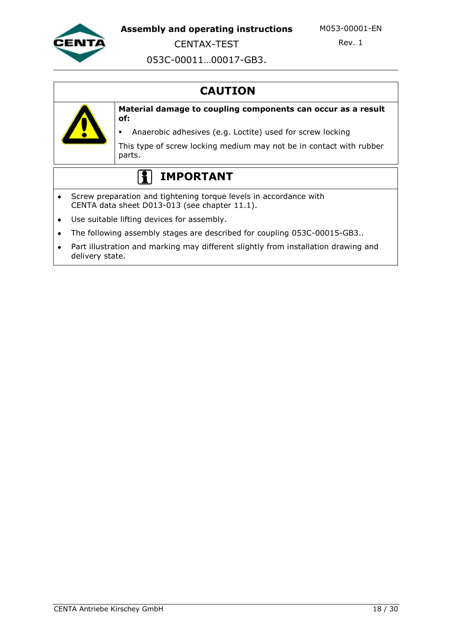

CENTAX-TEST

Rev. 1

053C-00011…00017-GB3.

# **CAUTION**



**Material damage to coupling components can occur as a result of:**

Anaerobic adhesives (e.g. Loctite) used for screw locking

This type of screw locking medium may not be in contact with rubber parts.

#### $|1|$ **IMPORTANT**

- Screw preparation and tightening torque levels in accordance with  $\bullet$ CENTA data sheet D013-013 (see chapter 11.1).
- Use suitable lifting devices for assembly.  $\bullet$
- The following assembly stages are described for coupling 053C-00015-GB3..  $\bullet$
- Part illustration and marking may different slightly from installation drawing and  $\bullet$ delivery state.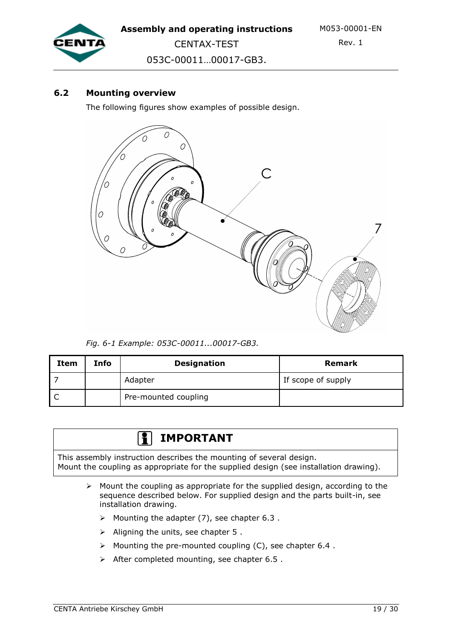

CENTAX-TEST 053C-00011…00017-GB3.

### **6.2 Mounting overview**

The following figures show examples of possible design.



*Fig. 6-1 Example: 053C-00011...00017-GB3.*

| Item | Info | <b>Designation</b>   | <b>Remark</b>      |
|------|------|----------------------|--------------------|
|      |      | Adapter              | If scope of supply |
|      |      | Pre-mounted coupling |                    |

#### **IMPORTANT** 1 º 1

This assembly instruction describes the mounting of several design. Mount the coupling as appropriate for the supplied design (see installation drawing).

- $\triangleright$  Mount the coupling as appropriate for the supplied design, according to the sequence described below. For supplied design and the parts built-in, see installation drawing.
	- $\triangleright$  Mounting the adapter (7), see chapter 6.3.
	- $\triangleright$  Aligning the units, see chapter 5.
	- $\triangleright$  Mounting the pre-mounted coupling (C), see chapter 6.4.
	- $\triangleright$  After completed mounting, see chapter 6.5.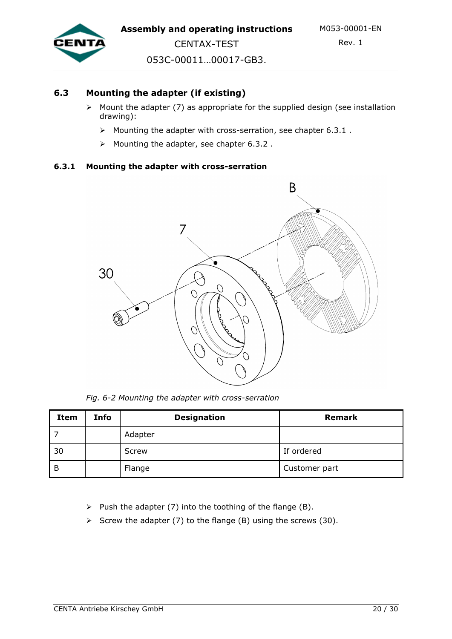

### **6.3 Mounting the adapter (if existing)**

- $\triangleright$  Mount the adapter (7) as appropriate for the supplied design (see installation drawing):
	- $\triangleright$  Mounting the adapter with cross-serration, see chapter 6.3.1.
	- $\triangleright$  Mounting the adapter, see chapter 6.3.2.

#### **6.3.1 Mounting the adapter with cross-serration**



*Fig. 6-2 Mounting the adapter with cross-serration*

| Item | Info | <b>Designation</b> | Remark        |
|------|------|--------------------|---------------|
|      |      | Adapter            |               |
| 30   |      | Screw              | If ordered    |
| B    |      | Flange             | Customer part |

 $\triangleright$  Push the adapter (7) into the toothing of the flange (B).

Screw the adapter (7) to the flange (B) using the screws (30).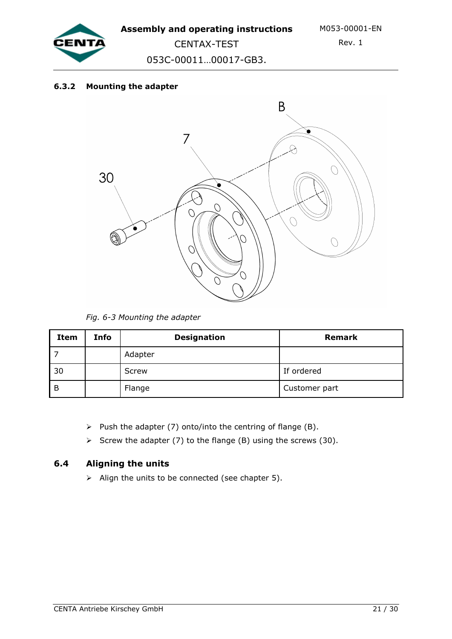

053C-00011…00017-GB3.

CENTAX-TEST

#### **6.3.2 Mounting the adapter**



*Fig. 6-3 Mounting the adapter*

| Item | Info | <b>Designation</b> | Remark        |
|------|------|--------------------|---------------|
|      |      | Adapter            |               |
| 30   |      | Screw              | If ordered    |
| B    |      | Flange             | Customer part |

- $\triangleright$  Push the adapter (7) onto/into the centring of flange (B).
- Screw the adapter (7) to the flange (B) using the screws (30).

### **6.4 Aligning the units**

 $\triangleright$  Align the units to be connected (see chapter 5).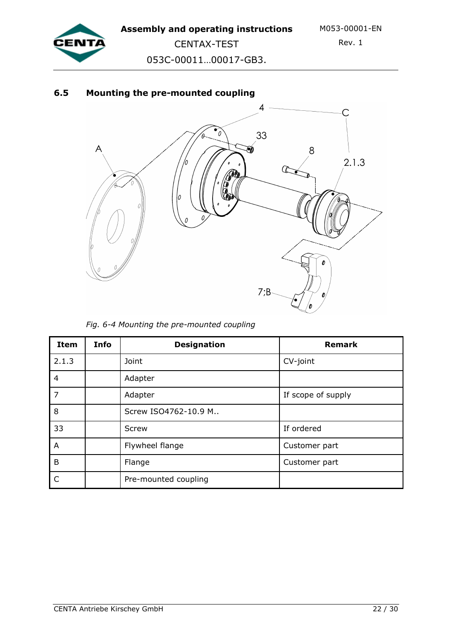

CENTAX-TEST 053C-00011…00017-GB3.

## **6.5 Mounting the pre-mounted coupling**



*Fig. 6-4 Mounting the pre-mounted coupling*

| <b>Item</b>    | <b>Info</b> | <b>Designation</b>         | <b>Remark</b>      |  |
|----------------|-------------|----------------------------|--------------------|--|
| 2.1.3          |             | Joint                      | CV-joint           |  |
| $\overline{4}$ |             | Adapter                    |                    |  |
| $\overline{7}$ |             | Adapter                    | If scope of supply |  |
| 8              |             | Screw ISO4762-10.9 M       |                    |  |
| 33             |             | If ordered<br><b>Screw</b> |                    |  |
| A              |             | Flywheel flange            | Customer part      |  |
| B              |             | Flange                     | Customer part      |  |
| C              |             | Pre-mounted coupling       |                    |  |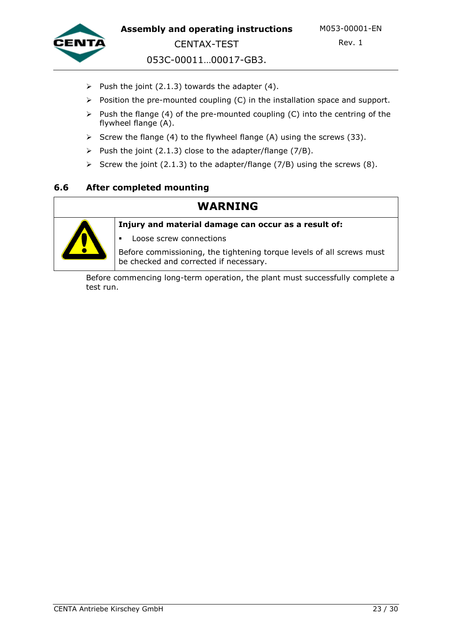

053C-00011…00017-GB3.

- Push the joint (2.1.3) towards the adapter (4).
- $\triangleright$  Position the pre-mounted coupling (C) in the installation space and support.
- $\triangleright$  Push the flange (4) of the pre-mounted coupling (C) into the centring of the flywheel flange (A).
- Screw the flange (4) to the flywheel flange (A) using the screws (33).
- Push the joint (2.1.3) close to the adapter/flange (7/B).
- Screw the joint (2.1.3) to the adapter/flange (7/B) using the screws (8).

#### **6.6 After completed mounting**

## **WARNING**

**Injury and material damage can occur as a result of:**



Loose screw connections

Before commissioning, the tightening torque levels of all screws must be checked and corrected if necessary.

Before commencing long-term operation, the plant must successfully complete a test run.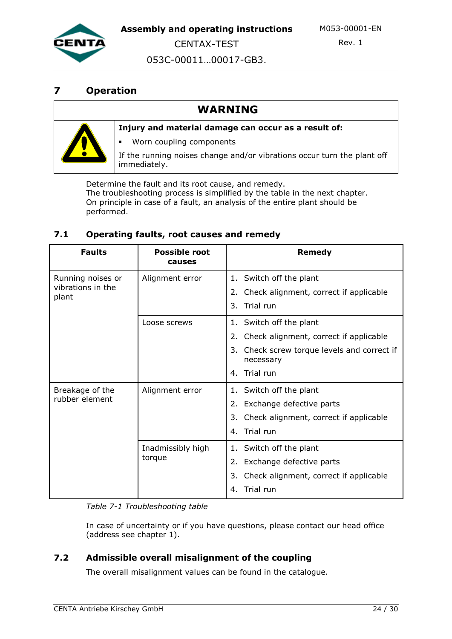

CENTAX-TEST

Rev. 1

053C-00011…00017-GB3.

## **7 Operation**

## **WARNING**



#### **Injury and material damage can occur as a result of:**

Worn coupling components

If the running noises change and/or vibrations occur turn the plant off immediately.

Determine the fault and its root cause, and remedy. The troubleshooting process is simplified by the table in the next chapter. On principle in case of a fault, an analysis of the entire plant should be performed.

#### **7.1 Operating faults, root causes and remedy**

| <b>Faults</b>              | <b>Possible root</b><br>causes | Remedy                                                      |
|----------------------------|--------------------------------|-------------------------------------------------------------|
| Running noises or          | Alignment error                | 1. Switch off the plant                                     |
| vibrations in the<br>plant |                                | Check alignment, correct if applicable                      |
|                            |                                | Trial run<br>3.                                             |
|                            | Loose screws                   | 1. Switch off the plant                                     |
|                            |                                | Check alignment, correct if applicable<br>2.                |
|                            |                                | 3.<br>Check screw torque levels and correct if<br>necessary |
|                            |                                | Trial run<br>4.                                             |
| Breakage of the            | Alignment error                | 1. Switch off the plant                                     |
| rubber element             |                                | 2. Exchange defective parts                                 |
|                            |                                | Check alignment, correct if applicable<br>3.                |
|                            |                                | Trial run<br>4.                                             |
|                            | Inadmissibly high<br>torque    | 1. Switch off the plant                                     |
|                            |                                | 2. Exchange defective parts                                 |
|                            |                                | Check alignment, correct if applicable<br>3.                |
|                            |                                | Trial run<br>4.                                             |

*Table 7-1 Troubleshooting table*

In case of uncertainty or if you have questions, please contact our head office (address see chapter 1).

#### **7.2 Admissible overall misalignment of the coupling**

The overall misalignment values can be found in the catalogue.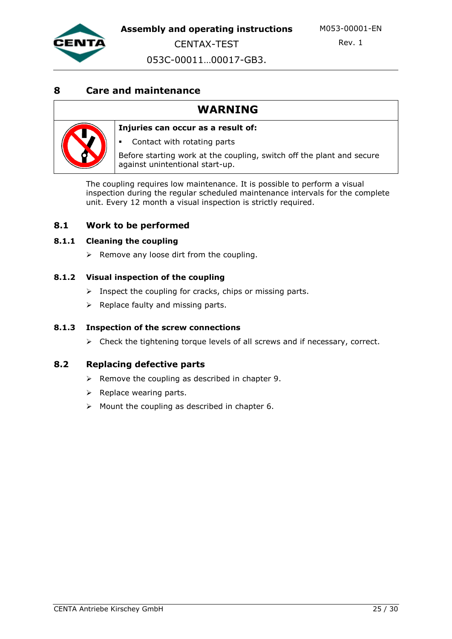

Rev. 1

053C-00011…00017-GB3.

## **8 Care and maintenance**

## **WARNING**



**Injuries can occur as a result of:**

Contact with rotating parts

Before starting work at the coupling, switch off the plant and secure against unintentional start-up.

The coupling requires low maintenance. It is possible to perform a visual inspection during the regular scheduled maintenance intervals for the complete unit. Every 12 month a visual inspection is strictly required.

#### **8.1 Work to be performed**

#### **8.1.1 Cleaning the coupling**

 $\triangleright$  Remove any loose dirt from the coupling.

#### **8.1.2 Visual inspection of the coupling**

- $\triangleright$  Inspect the coupling for cracks, chips or missing parts.
- $\triangleright$  Replace faulty and missing parts.

#### **8.1.3 Inspection of the screw connections**

 $\triangleright$  Check the tightening torque levels of all screws and if necessary, correct.

#### **8.2 Replacing defective parts**

- $\triangleright$  Remove the coupling as described in chapter 9.
- $\triangleright$  Replace wearing parts.
- $\triangleright$  Mount the coupling as described in chapter 6.

CENTA Antriebe Kirschey GmbH 25 / 30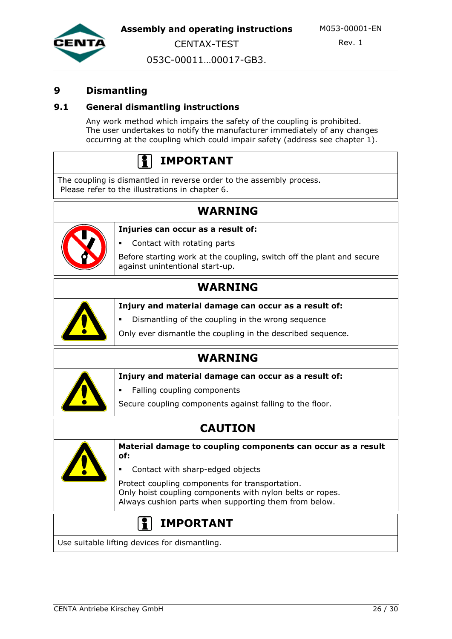

Rev. 1

053C-00011…00017-GB3.

## **9 Dismantling**

#### **9.1 General dismantling instructions**

Any work method which impairs the safety of the coupling is prohibited. The user undertakes to notify the manufacturer immediately of any changes occurring at the coupling which could impair safety (address see chapter 1).

# **IMPORTANT**

The coupling is dismantled in reverse order to the assembly process. Please refer to the illustrations in chapter 6.

**Injuries can occur as a result of:**

## **WARNING**



Contact with rotating parts

Before starting work at the coupling, switch off the plant and secure against unintentional start-up.

## **WARNING**



**Injury and material damage can occur as a result of:** 

Dismantling of the coupling in the wrong sequence

Only ever dismantle the coupling in the described sequence.

## **WARNING**



**Injury and material damage can occur as a result of:**

Falling coupling components

Secure coupling components against falling to the floor.

## **CAUTION**



**Material damage to coupling components can occur as a result of:**

Contact with sharp-edged objects

Protect coupling components for transportation. Only hoist coupling components with nylon belts or ropes. Always cushion parts when supporting them from below.

## **IMPORTANT**

Use suitable lifting devices for dismantling.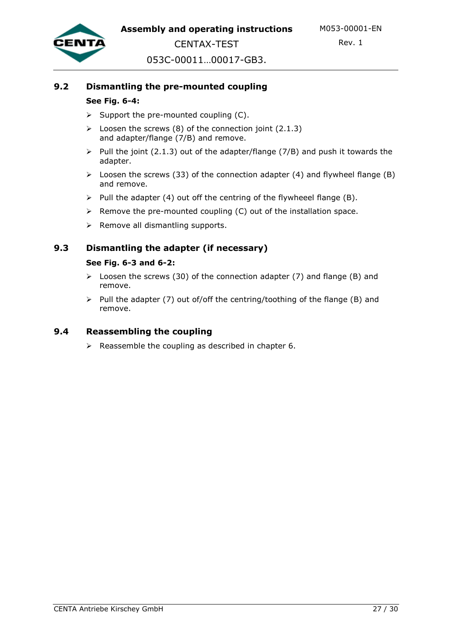

CENTAX-TEST 053C-00011…00017-GB3.

### **9.2 Dismantling the pre-mounted coupling**

#### **See Fig. 6-4:**

- $\triangleright$  Support the pre-mounted coupling (C).
- $\triangleright$  Loosen the screws (8) of the connection joint (2.1.3) and adapter/flange (7/B) and remove.
- $\triangleright$  Pull the joint (2.1.3) out of the adapter/flange (7/B) and push it towards the adapter.
- $\triangleright$  Loosen the screws (33) of the connection adapter (4) and flywheel flange (B) and remove.
- $\triangleright$  Pull the adapter (4) out off the centring of the flywheeel flange (B).
- $\triangleright$  Remove the pre-mounted coupling (C) out of the installation space.
- $\triangleright$  Remove all dismantling supports.

#### **9.3 Dismantling the adapter (if necessary)**

#### **See Fig. 6-3 and 6-2:**

- $\triangleright$  Loosen the screws (30) of the connection adapter (7) and flange (B) and remove.
- $\triangleright$  Pull the adapter (7) out of/off the centring/toothing of the flange (B) and remove.

#### **9.4 Reassembling the coupling**

 $\triangleright$  Reassemble the coupling as described in chapter 6.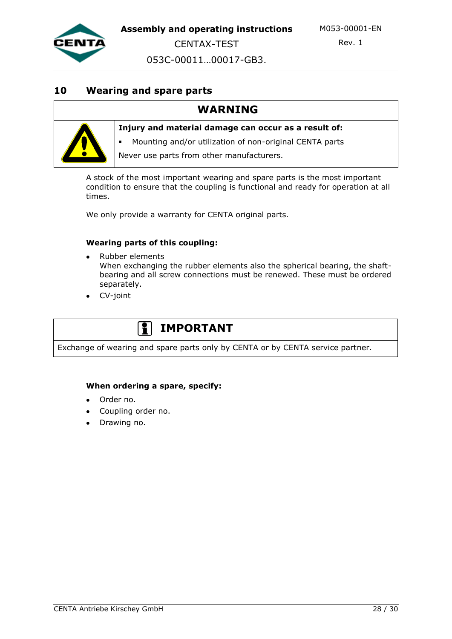

Rev. 1

053C-00011…00017-GB3.

### **10 Wearing and spare parts**

## **WARNING**



**Injury and material damage can occur as a result of:**

Mounting and/or utilization of non-original CENTA parts

Never use parts from other manufacturers.

A stock of the most important wearing and spare parts is the most important condition to ensure that the coupling is functional and ready for operation at all times.

We only provide a warranty for CENTA original parts.

#### **Wearing parts of this coupling:**

- Rubber elements When exchanging the rubber elements also the spherical bearing, the shaftbearing and all screw connections must be renewed. These must be ordered separately.
- CV-joint

## **IMPORTANT**

Exchange of wearing and spare parts only by CENTA or by CENTA service partner.

#### **When ordering a spare, specify:**

- Order no.
- Coupling order no.
- Drawing no.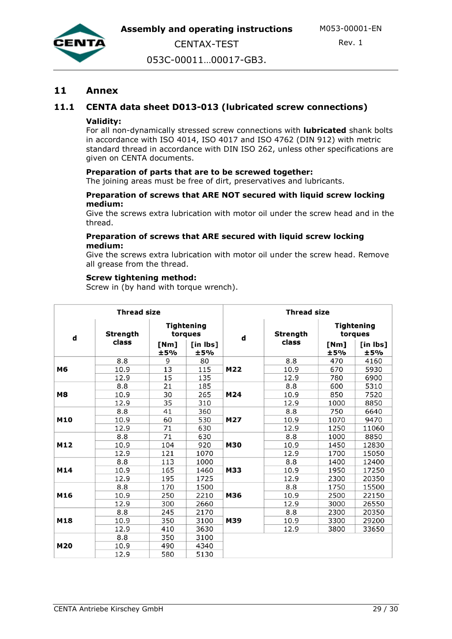



Rev. 1

053C-00011…00017-GB3.

#### **11 Annex**

#### **11.1 CENTA data sheet D013-013 (lubricated screw connections)**

#### **Validity:**

For all non-dynamically stressed screw connections with **lubricated** shank bolts in accordance with ISO 4014, ISO 4017 and ISO 4762 (DIN 912) with metric standard thread in accordance with DIN ISO 262, unless other specifications are given on CENTA documents.

#### **Preparation of parts that are to be screwed together:**

The joining areas must be free of dirt, preservatives and lubricants.

#### **Preparation of screws that ARE NOT secured with liquid screw locking medium:**

Give the screws extra lubrication with motor oil under the screw head and in the thread.

#### **Preparation of screws that ARE secured with liquid screw locking medium:**

Give the screws extra lubrication with motor oil under the screw head. Remove all grease from the thread.

#### **Screw tightening method:**

Screw in (by hand with torque wrench).

| <b>Thread size</b> |                 |             | <b>Thread size</b>    |            |          |             |                              |  |
|--------------------|-----------------|-------------|-----------------------|------------|----------|-------------|------------------------------|--|
| d                  | <b>Strength</b> |             | Tightening<br>torques | d          | Strength |             | <b>Tightening</b><br>torques |  |
|                    | class           | [Nm]<br>±5% | [in lbs]<br>±5%       |            | class    | [Nm]<br>±5% | $[$ in Ibs $]$<br>±5%        |  |
|                    | 8.8             | 9           | 80                    | M22        | 8.8      | 470         | 4160                         |  |
| M6                 | 10.9            | 13          | 115                   |            | 10.9     | 670         | 5930                         |  |
|                    | 12.9            | 15          | 135                   |            | 12.9     | 780         | 6900                         |  |
|                    | 8.8             | 21          | 185                   | M24        | 8.8      | 600         | 5310                         |  |
| <b>M8</b>          | 10.9            | 30          | 265                   |            | 10.9     | 850         | 7520                         |  |
|                    | 12.9            | 35          | 310                   |            | 12.9     | 1000        | 8850                         |  |
|                    | 8.8             | 41          | 360                   | M27        | 8.8      | 750         | 6640                         |  |
| M10                | 10.9            | 60          | 530                   |            | 10.9     | 1070        | 9470                         |  |
|                    | 12.9            | 71          | 630                   |            | 12.9     | 1250        | 11060                        |  |
|                    | 8.8             | 71          | 630                   | M30        | 8.8      | 1000        | 8850                         |  |
| M12                | 10.9            | 104         | 920                   |            | 10.9     | 1450        | 12830                        |  |
|                    | 12.9            | 121         | 1070                  |            | 12.9     | 1700        | 15050                        |  |
|                    | 8.8             | 113         | 1000                  |            | 8.8      | 1400        | 12400                        |  |
| M14                | 10.9            | 165         | 1460                  | <b>M33</b> | 10.9     | 1950        | 17250                        |  |
|                    | 12.9            | 195         | 1725                  |            | 12.9     | 2300        | 20350                        |  |
|                    | 8.8             | 170         | 1500                  | M36        | 8.8      | 1750        | 15500                        |  |
| M16                | 10.9            | 250         | 2210                  |            | 10.9     | 2500        | 22150                        |  |
|                    | 12.9            | 300         | 2660                  |            | 12.9     | 3000        | 26550                        |  |
|                    | 8.8             | 245         | 2170                  | M39        | 8.8      | 2300        | 20350                        |  |
| M18                | 10.9            | 350         | 3100                  |            | 10.9     | 3300        | 29200                        |  |
|                    | 12.9            | 410         | 3630                  |            | 12.9     | 3800        | 33650                        |  |
| M20                | 8.8             | 350         | 3100                  |            |          |             |                              |  |
|                    | 10.9            | 490         | 4340                  |            |          |             |                              |  |
|                    | 12.9            | 580         | 5130                  |            |          |             |                              |  |